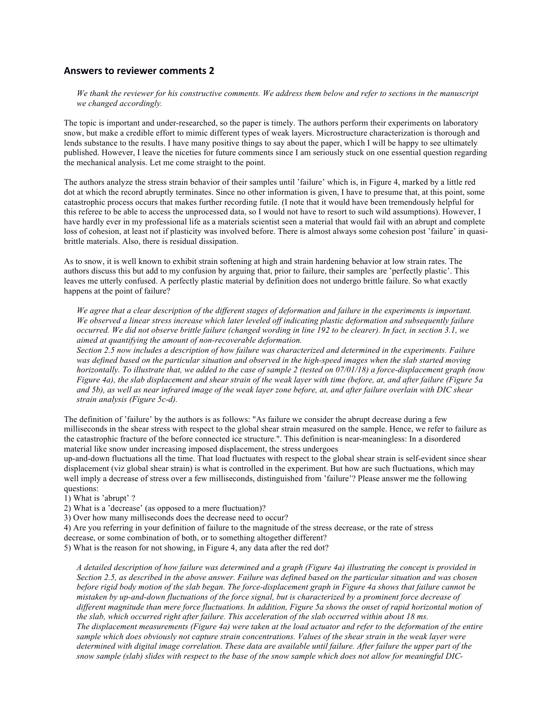## **Answers to reviewer comments 2**

*We thank the reviewer for his constructive comments. We address them below and refer to sections in the manuscript we changed accordingly.*

The topic is important and under-researched, so the paper is timely. The authors perform their experiments on laboratory snow, but make a credible effort to mimic different types of weak layers. Microstructure characterization is thorough and lends substance to the results. I have many positive things to say about the paper, which I will be happy to see ultimately published. However, I leave the niceties for future comments since I am seriously stuck on one essential question regarding the mechanical analysis. Let me come straight to the point.

The authors analyze the stress strain behavior of their samples until 'failure' which is, in Figure 4, marked by a little red dot at which the record abruptly terminates. Since no other information is given, I have to presume that, at this point, some catastrophic process occurs that makes further recording futile. (I note that it would have been tremendously helpful for this referee to be able to access the unprocessed data, so I would not have to resort to such wild assumptions). However, I have hardly ever in my professional life as a materials scientist seen a material that would fail with an abrupt and complete loss of cohesion, at least not if plasticity was involved before. There is almost always some cohesion post 'failure' in quasibrittle materials. Also, there is residual dissipation.

As to snow, it is well known to exhibit strain softening at high and strain hardening behavior at low strain rates. The authors discuss this but add to my confusion by arguing that, prior to failure, their samples are 'perfectly plastic'. This leaves me utterly confused. A perfectly plastic material by definition does not undergo brittle failure. So what exactly happens at the point of failure?

*We agree that a clear description of the different stages of deformation and failure in the experiments is important. We observed a linear stress increase which later leveled off indicating plastic deformation and subsequently failure occurred. We did not observe brittle failure (changed wording in line 192 to be clearer). In fact, in section 3.1, we aimed at quantifying the amount of non-recoverable deformation.* 

*Section 2.5 now includes a description of how failure was characterized and determined in the experiments. Failure was defined based on the particular situation and observed in the high-speed images when the slab started moving horizontally. To illustrate that, we added to the case of sample 2 (tested on 07/01/18) a force-displacement graph (now Figure 4a), the slab displacement and shear strain of the weak layer with time (before, at, and after failure (Figure 5a and 5b), as well as near infrared image of the weak layer zone before, at, and after failure overlain with DIC shear strain analysis (Figure 5c-d).*

The definition of 'failure' by the authors is as follows: "As failure we consider the abrupt decrease during a few milliseconds in the shear stress with respect to the global shear strain measured on the sample. Hence, we refer to failure as the catastrophic fracture of the before connected ice structure.". This definition is near-meaningless: In a disordered material like snow under increasing imposed displacement, the stress undergoes

up-and-down fluctuations all the time. That load fluctuates with respect to the global shear strain is self-evident since shear displacement (viz global shear strain) is what is controlled in the experiment. But how are such fluctuations, which may well imply a decrease of stress over a few milliseconds, distinguished from 'failure'? Please answer me the following questions:

1) What is 'abrupt' ?

2) What is a 'decrease' (as opposed to a mere fluctuation)?

3) Over how many milliseconds does the decrease need to occur?

4) Are you referring in your definition of failure to the magnitude of the stress decrease, or the rate of stress

decrease, or some combination of both, or to something altogether different?

5) What is the reason for not showing, in Figure 4, any data after the red dot?

*A detailed description of how failure was determined and a graph (Figure 4a) illustrating the concept is provided in Section 2.5, as described in the above answer. Failure was defined based on the particular situation and was chosen before rigid body motion of the slab began. The force-displacement graph in Figure 4a shows that failure cannot be mistaken by up-and-down fluctuations of the force signal, but is characterized by a prominent force decrease of different magnitude than mere force fluctuations. In addition, Figure 5a shows the onset of rapid horizontal motion of the slab, which occurred right after failure. This acceleration of the slab occurred within about 18 ms. The displacement measurements (Figure 4a) were taken at the load actuator and refer to the deformation of the entire sample which does obviously not capture strain concentrations. Values of the shear strain in the weak layer were determined with digital image correlation. These data are available until failure. After failure the upper part of the snow sample (slab) slides with respect to the base of the snow sample which does not allow for meaningful DIC-*